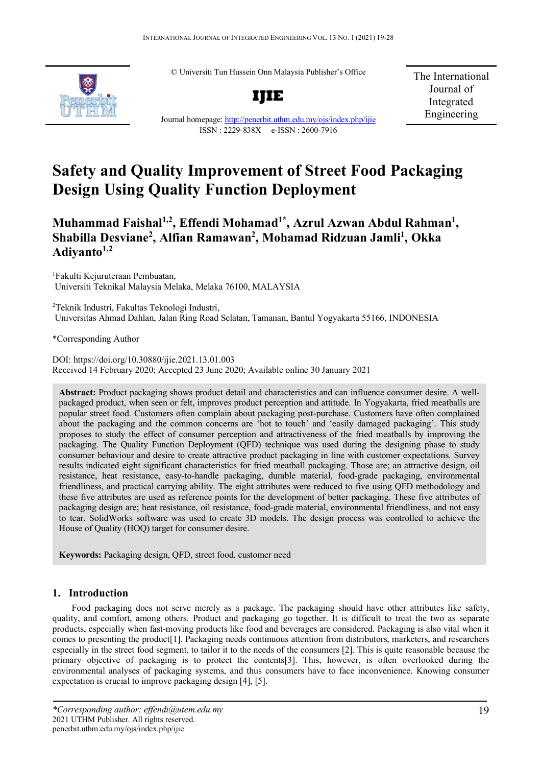© Universiti Tun Hussein Onn Malaysia Publisher's Office



**IJIE**

The International Journal of Integrated Engineering

# Journal homepage:<http://penerbit.uthm.edu.my/ojs/index.php/ijie> ISSN : 2229-838X e-ISSN : 2600-7916

# **Safety and Quality Improvement of Street Food Packaging Design Using Quality Function Deployment**

**Muhammad Faishal1,2 , Effendi Mohamad1\* , Azrul Azwan Abdul Rahman1 , Shabilla Desviane2 , Alfian Ramawan2 , Mohamad Ridzuan Jamli1 , Okka**  Adivanto<sup>1,2</sup>

1 Fakulti Kejuruteraan Pembuatan, Universiti Teknikal Malaysia Melaka, Melaka 76100, MALAYSIA

2 Teknik Industri, Fakultas Teknologi Industri, Universitas Ahmad Dahlan, Jalan Ring Road Selatan, Tamanan, Bantul Yogyakarta 55166, INDONESIA

\*Corresponding Author

DOI: https://doi.org/10.30880/ijie.2021.13.01.003 Received 14 February 2020; Accepted 23 June 2020; Available online 30 January 2021

**Abstract:** Product packaging shows product detail and characteristics and can influence consumer desire. A wellpackaged product, when seen or felt, improves product perception and attitude. In Yogyakarta, fried meatballs are popular street food. Customers often complain about packaging post-purchase. Customers have often complained about the packaging and the common concerns are 'hot to touch' and 'easily damaged packaging'. This study proposes to study the effect of consumer perception and attractiveness of the fried meatballs by improving the packaging. The Quality Function Deployment (QFD) technique was used during the designing phase to study consumer behaviour and desire to create attractive product packaging in line with customer expectations. Survey results indicated eight significant characteristics for fried meatball packaging. Those are; an attractive design, oil resistance, heat resistance, easy-to-handle packaging, durable material, food-grade packaging, environmental friendliness, and practical carrying ability. The eight attributes were reduced to five using QFD methodology and these five attributes are used as reference points for the development of better packaging. These five attributes of packaging design are; heat resistance, oil resistance, food-grade material, environmental friendliness, and not easy to tear. SolidWorks software was used to create 3D models. The design process was controlled to achieve the House of Quality (HOQ) target for consumer desire.

**Keywords:** Packaging design, QFD, street food, customer need

# **1. Introduction**

Food packaging does not serve merely as a package. The packaging should have other attributes like safety, quality, and comfort, among others. Product and packaging go together. It is difficult to treat the two as separate products, especially when fast-moving products like food and beverages are considered. Packaging is also vital when it comes to presenting the product[1]. Packaging needs continuous attention from distributors, marketers, and researchers especially in the street food segment, to tailor it to the needs of the consumers [2]. This is quite reasonable because the primary objective of packaging is to protect the contents[3]. This, however, is often overlooked during the environmental analyses of packaging systems, and thus consumers have to face inconvenience. Knowing consumer expectation is crucial to improve packaging design [4], [5].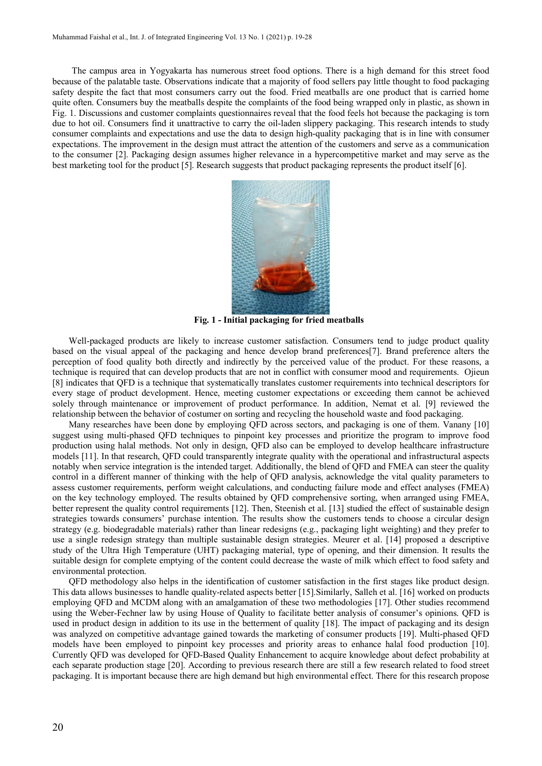The campus area in Yogyakarta has numerous street food options. There is a high demand for this street food because of the palatable taste. Observations indicate that a majority of food sellers pay little thought to food packaging safety despite the fact that most consumers carry out the food. Fried meatballs are one product that is carried home quite often. Consumers buy the meatballs despite the complaints of the food being wrapped only in plastic, as shown in Fig. 1. Discussions and customer complaints questionnaires reveal that the food feels hot because the packaging is torn due to hot oil. Consumers find it unattractive to carry the oil-laden slippery packaging. This research intends to study consumer complaints and expectations and use the data to design high-quality packaging that is in line with consumer expectations. The improvement in the design must attract the attention of the customers and serve as a communication to the consumer [2]. Packaging design assumes higher relevance in a hypercompetitive market and may serve as the best marketing tool for the product [5]. Research suggests that product packaging represents the product itself [6].



**Fig. 1 - Initial packaging for fried meatballs**

Well-packaged products are likely to increase customer satisfaction. Consumers tend to judge product quality based on the visual appeal of the packaging and hence develop brand preferences[7]. Brand preference alters the perception of food quality both directly and indirectly by the perceived value of the product. For these reasons, a technique is required that can develop products that are not in conflict with consumer mood and requirements. Ojieun [8] indicates that QFD is a technique that systematically translates customer requirements into technical descriptors for every stage of product development. Hence, meeting customer expectations or exceeding them cannot be achieved solely through maintenance or improvement of product performance. In addition, Nemat et al. [9] reviewed the relationship between the behavior of costumer on sorting and recycling the household waste and food packaging.

Many researches have been done by employing QFD across sectors, and packaging is one of them. Vanany [10] suggest using multi-phased QFD techniques to pinpoint key processes and prioritize the program to improve food production using halal methods. Not only in design, QFD also can be employed to develop healthcare infrastructure models [11]. In that research, QFD could transparently integrate quality with the operational and infrastructural aspects notably when service integration is the intended target. Additionally, the blend of QFD and FMEA can steer the quality control in a different manner of thinking with the help of QFD analysis, acknowledge the vital quality parameters to assess customer requirements, perform weight calculations, and conducting failure mode and effect analyses (FMEA) on the key technology employed. The results obtained by QFD comprehensive sorting, when arranged using FMEA, better represent the quality control requirements [12]. Then, Steenish et al. [13] studied the effect of sustainable design strategies towards consumers' purchase intention. The results show the customers tends to choose a circular design strategy (e.g. biodegradable materials) rather than linear redesigns (e.g., packaging light weighting) and they prefer to use a single redesign strategy than multiple sustainable design strategies. Meurer et al. [14] proposed a descriptive study of the Ultra High Temperature (UHT) packaging material, type of opening, and their dimension. It results the suitable design for complete emptying of the content could decrease the waste of milk which effect to food safety and environmental protection.

QFD methodology also helps in the identification of customer satisfaction in the first stages like product design. This data allows businesses to handle quality-related aspects better [15].Similarly, Salleh et al. [16] worked on products employing QFD and MCDM along with an amalgamation of these two methodologies [17]. Other studies recommend using the Weber-Fechner law by using House of Quality to facilitate better analysis of consumer's opinions. QFD is used in product design in addition to its use in the betterment of quality [18]. The impact of packaging and its design was analyzed on competitive advantage gained towards the marketing of consumer products [19]. Multi-phased QFD models have been employed to pinpoint key processes and priority areas to enhance halal food production [10]. Currently QFD was developed for QFD-Based Quality Enhancement to acquire knowledge about defect probability at each separate production stage [20]. According to previous research there are still a few research related to food street packaging. It is important because there are high demand but high environmental effect. There for this research propose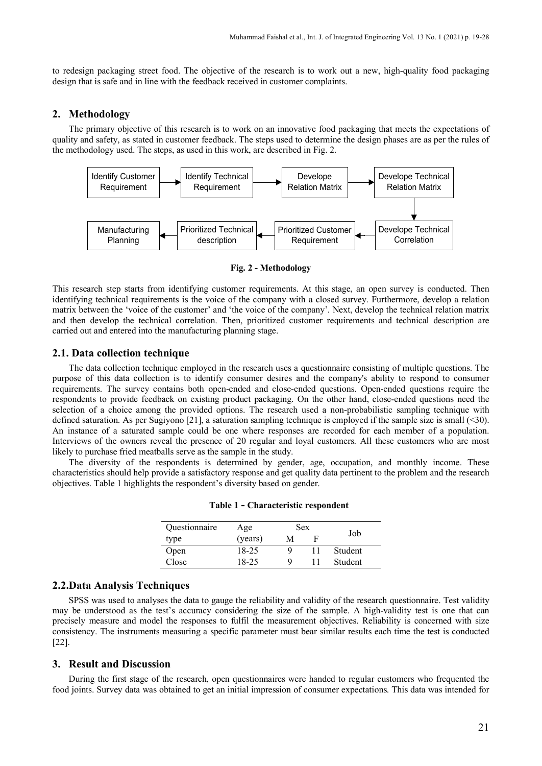to redesign packaging street food. The objective of the research is to work out a new, high-quality food packaging design that is safe and in line with the feedback received in customer complaints.

#### **2. Methodology**

The primary objective of this research is to work on an innovative food packaging that meets the expectations of quality and safety, as stated in customer feedback. The steps used to determine the design phases are as per the rules of the methodology used. The steps, as used in this work, are described in Fig. 2.



**Fig. 2 - Methodology**

This research step starts from identifying customer requirements. At this stage, an open survey is conducted. Then identifying technical requirements is the voice of the company with a closed survey. Furthermore, develop a relation matrix between the 'voice of the customer' and 'the voice of the company'. Next, develop the technical relation matrix and then develop the technical correlation. Then, prioritized customer requirements and technical description are carried out and entered into the manufacturing planning stage.

# **2.1. Data collection technique**

The data collection technique employed in the research uses a questionnaire consisting of multiple questions. The purpose of this data collection is to identify consumer desires and the company's ability to respond to consumer requirements. The survey contains both open-ended and close-ended questions. Open-ended questions require the respondents to provide feedback on existing product packaging. On the other hand, close-ended questions need the selection of a choice among the provided options. The research used a non-probabilistic sampling technique with defined saturation. As per Sugiyono [21], a saturation sampling technique is employed if the sample size is small (<30). An instance of a saturated sample could be one where responses are recorded for each member of a population. Interviews of the owners reveal the presence of 20 regular and loyal customers. All these customers who are most likely to purchase fried meatballs serve as the sample in the study.

The diversity of the respondents is determined by gender, age, occupation, and monthly income. These characteristics should help provide a satisfactory response and get quality data pertinent to the problem and the research objectives. Table 1 highlights the respondent's diversity based on gender.

| <i><u><b>Ouestionnaire</b></u></i> | Age     | <b>Sex</b> |  |                |
|------------------------------------|---------|------------|--|----------------|
| type                               | (years) | M          |  | Job            |
| Open                               | 18-25   | Q          |  | Student        |
| C <sub>lose</sub>                  | 18-25   | Q          |  | <b>Student</b> |

**Table 1 - Characteristic respondent**

# **2.2.Data Analysis Techniques**

SPSS was used to analyses the data to gauge the reliability and validity of the research questionnaire. Test validity may be understood as the test's accuracy considering the size of the sample. A high-validity test is one that can precisely measure and model the responses to fulfil the measurement objectives. Reliability is concerned with size consistency. The instruments measuring a specific parameter must bear similar results each time the test is conducted [22].

#### **3. Result and Discussion**

During the first stage of the research, open questionnaires were handed to regular customers who frequented the food joints. Survey data was obtained to get an initial impression of consumer expectations. This data was intended for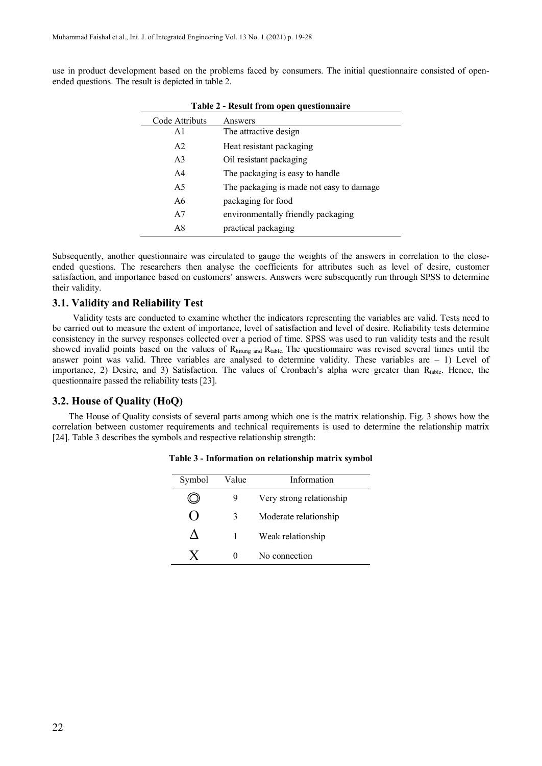use in product development based on the problems faced by consumers. The initial questionnaire consisted of openended questions. The result is depicted in table 2.

| Table 2 - Result from open questionnaire |                                          |  |  |  |  |  |  |  |  |
|------------------------------------------|------------------------------------------|--|--|--|--|--|--|--|--|
| Code Attributs                           | Answers                                  |  |  |  |  |  |  |  |  |
| A1                                       | The attractive design                    |  |  |  |  |  |  |  |  |
| A <sub>2</sub>                           | Heat resistant packaging                 |  |  |  |  |  |  |  |  |
| A <sub>3</sub>                           | Oil resistant packaging                  |  |  |  |  |  |  |  |  |
| A <sub>4</sub>                           | The packaging is easy to handle          |  |  |  |  |  |  |  |  |
| A5                                       | The packaging is made not easy to damage |  |  |  |  |  |  |  |  |
| A6                                       | packaging for food                       |  |  |  |  |  |  |  |  |
| A7                                       | environmentally friendly packaging       |  |  |  |  |  |  |  |  |
| A8                                       | practical packaging                      |  |  |  |  |  |  |  |  |

**Table 2 - Result from open questionnaire**

Subsequently, another questionnaire was circulated to gauge the weights of the answers in correlation to the closeended questions. The researchers then analyse the coefficients for attributes such as level of desire, customer satisfaction, and importance based on customers' answers. Answers were subsequently run through SPSS to determine their validity.

# **3.1. Validity and Reliability Test**

Validity tests are conducted to examine whether the indicators representing the variables are valid. Tests need to be carried out to measure the extent of importance, level of satisfaction and level of desire. Reliability tests determine consistency in the survey responses collected over a period of time. SPSS was used to run validity tests and the result showed invalid points based on the values of Rhitung and Rtable. The questionnaire was revised several times until the answer point was valid. Three variables are analysed to determine validity. These variables are  $-1$ ) Level of importance, 2) Desire, and 3) Satisfaction. The values of Cronbach's alpha were greater than  $R_{table}$ . Hence, the questionnaire passed the reliability tests [23].

#### **3.2. House of Quality (HoQ)**

The House of Quality consists of several parts among which one is the matrix relationship. Fig. 3 shows how the correlation between customer requirements and technical requirements is used to determine the relationship matrix [24]. Table 3 describes the symbols and respective relationship strength:

| Symbol | Value | Information              |
|--------|-------|--------------------------|
|        | 9     | Very strong relationship |
|        | 3     | Moderate relationship    |
|        |       | Weak relationship        |
|        |       | No connection            |

**Table 3 - Information on relationship matrix symbol**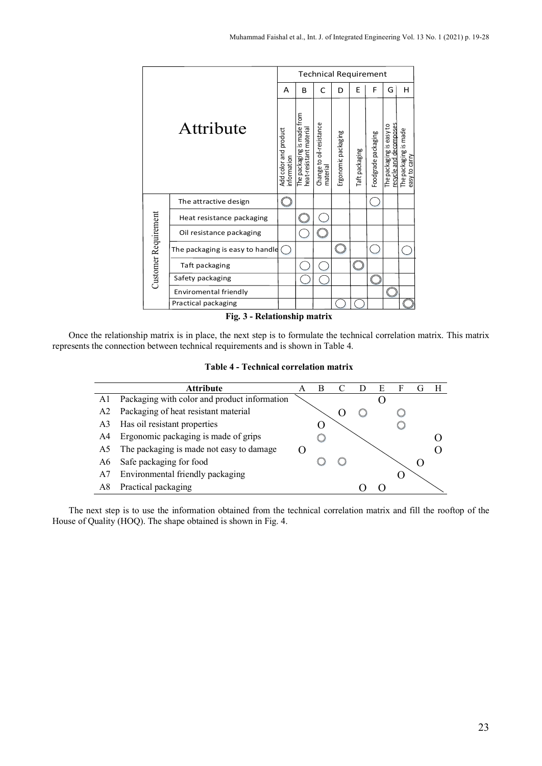|                      |                                 | <b>Technical Requirement</b>         |                                                       |                                      |                     |                |                     |                                                    |                                        |  |  |  |
|----------------------|---------------------------------|--------------------------------------|-------------------------------------------------------|--------------------------------------|---------------------|----------------|---------------------|----------------------------------------------------|----------------------------------------|--|--|--|
|                      |                                 | А                                    | B                                                     | C                                    | D                   | E              | F                   | G                                                  | н                                      |  |  |  |
| Attribute            |                                 | Add color and product<br>information | The packaging is made from<br>heat-resistant material | Change to oil-resistance<br>material | Ergonomic packaging | Taft packaging | Foodgrade packaging | recycle and decomposes<br>The packaging is easy to | The packaging is made<br>easy to carry |  |  |  |
|                      | The attractive design           |                                      |                                                       |                                      |                     |                |                     |                                                    |                                        |  |  |  |
|                      | Heat resistance packaging       |                                      |                                                       |                                      |                     |                |                     |                                                    |                                        |  |  |  |
|                      | Oil resistance packaging        |                                      |                                                       |                                      |                     |                |                     |                                                    |                                        |  |  |  |
|                      | The packaging is easy to handle |                                      |                                                       |                                      |                     |                |                     |                                                    |                                        |  |  |  |
| Customer Requirement | Taft packaging                  |                                      |                                                       |                                      |                     |                |                     |                                                    |                                        |  |  |  |
|                      | Safety packaging                |                                      |                                                       |                                      |                     |                |                     |                                                    |                                        |  |  |  |
|                      | Enviromental friendly           |                                      |                                                       |                                      |                     |                |                     |                                                    |                                        |  |  |  |
|                      | Practical packaging             |                                      |                                                       |                                      |                     |                |                     |                                                    |                                        |  |  |  |
|                      | Fig. 3 - Relationship matrix    |                                      |                                                       |                                      |                     |                |                     |                                                    |                                        |  |  |  |

Once the relationship matrix is in place, the next step is to formulate the technical correlation matrix. This matrix represents the connection between technical requirements and is shown in Table 4.

**Table 4 - Technical correlation matrix**



The next step is to use the information obtained from the technical correlation matrix and fill the rooftop of the House of Quality (HOQ). The shape obtained is shown in Fig. 4.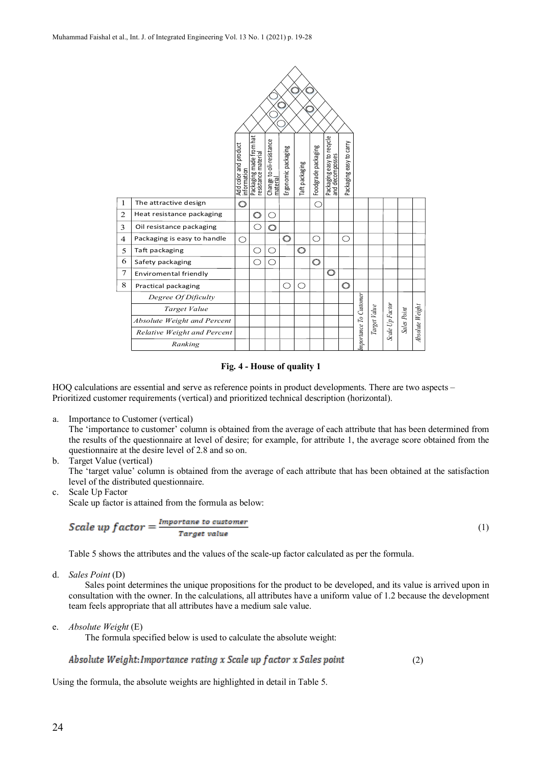

#### **Fig. 4 - House of quality 1**

HOQ calculations are essential and serve as reference points in product developments. There are two aspects – Prioritized customer requirements (vertical) and prioritized technical description (horizontal).

a. Importance to Customer (vertical)

The 'importance to customer' column is obtained from the average of each attribute that has been determined from the results of the questionnaire at level of desire; for example, for attribute 1, the average score obtained from the questionnaire at the desire level of 2.8 and so on.

b. Target Value (vertical)

The 'target value' column is obtained from the average of each attribute that has been obtained at the satisfaction level of the distributed questionnaire.

(1)

c. Scale Up Factor

Scale up factor is attained from the formula as below:

$$
\textit{Scale up factor} = \frac{\textit{Importane to customer}}{\textit{Target value}}
$$

Table 5 shows the attributes and the values of the scale-up factor calculated as per the formula.

d. *Sales Point* (D)

Sales point determines the unique propositions for the product to be developed, and its value is arrived upon in consultation with the owner. In the calculations, all attributes have a uniform value of 1.2 because the development team feels appropriate that all attributes have a medium sale value.

e. *Absolute Weight* (E)

The formula specified below is used to calculate the absolute weight:

#### Absolute Weight: Importance rating x Scale up factor x Sales point (2)

Using the formula, the absolute weights are highlighted in detail in Table 5.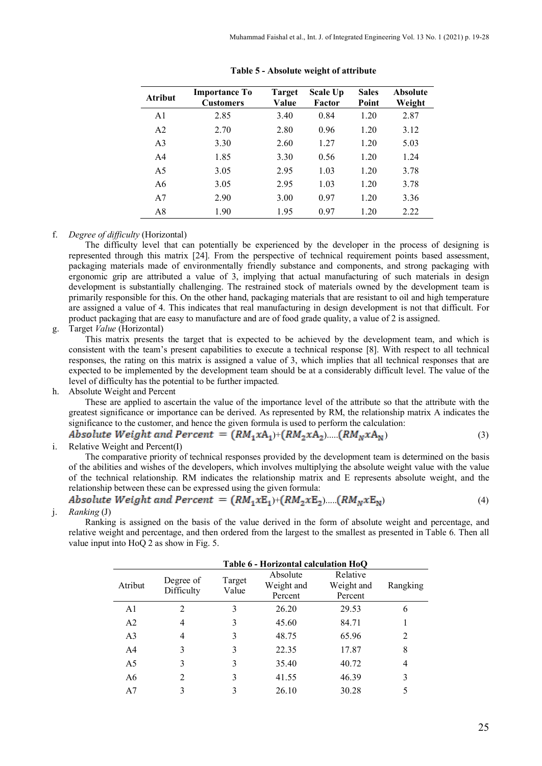| <b>Atribut</b> | <b>Importance To</b><br><b>Customers</b> | Target<br>Value | Scale Up<br>Factor | <b>Sales</b><br>Point | <b>Absolute</b><br>Weight |
|----------------|------------------------------------------|-----------------|--------------------|-----------------------|---------------------------|
| A <sub>1</sub> | 2.85                                     | 3.40            | 0.84               | 1.20                  | 2.87                      |
| A <sub>2</sub> | 2.70                                     | 2.80            | 0.96               | 1.20                  | 3.12                      |
| A <sub>3</sub> | 3.30                                     | 2.60            | 1.27               | 1.20                  | 5.03                      |
| A <sub>4</sub> | 1.85                                     | 3.30            | 0.56               | 1.20                  | 1.24                      |
| A5             | 3.05                                     | 2.95            | 1.03               | 1.20                  | 3.78                      |
| A6             | 3.05                                     | 2.95            | 1.03               | 1.20                  | 3.78                      |
| A7             | 2.90                                     | 3.00            | 0.97               | 1.20                  | 3.36                      |
| A8             | 1.90                                     | 1.95            | 0.97               | 1.20                  | 2.22                      |

**Table 5 - Absolute weight of attribute**

### f. *Degree of difficulty* (Horizontal)

The difficulty level that can potentially be experienced by the developer in the process of designing is represented through this matrix [24]. From the perspective of technical requirement points based assessment, packaging materials made of environmentally friendly substance and components, and strong packaging with ergonomic grip are attributed a value of 3, implying that actual manufacturing of such materials in design development is substantially challenging. The restrained stock of materials owned by the development team is primarily responsible for this. On the other hand, packaging materials that are resistant to oil and high temperature are assigned a value of 4. This indicates that real manufacturing in design development is not that difficult. For product packaging that are easy to manufacture and are of food grade quality, a value of 2 is assigned.

#### g. Target *Value* (Horizontal)

This matrix presents the target that is expected to be achieved by the development team, and which is consistent with the team's present capabilities to execute a technical response [8]. With respect to all technical responses, the rating on this matrix is assigned a value of 3, which implies that all technical responses that are expected to be implemented by the development team should be at a considerably difficult level. The value of the level of difficulty has the potential to be further impacted*.*

h. Absolute Weight and Percent

These are applied to ascertain the value of the importance level of the attribute so that the attribute with the greatest significance or importance can be derived. As represented by RM, the relationship matrix A indicates the significance to the customer, and hence the given formula is used to perform the calculation:

Absolute Weight and Percent =  $(RM_1 xA_1)+(RM_2 xA_2)...(RM_N xA_N)$  (3)

i. Relative Weight and Percent(I)

The comparative priority of technical responses provided by the development team is determined on the basis of the abilities and wishes of the developers, which involves multiplying the absolute weight value with the value of the technical relationship. RM indicates the relationship matrix and E represents absolute weight, and the relationship between these can be expressed using the given formula:

*Absolute Weight and Percent* = 
$$
(RM_1xE_1)+(RM_2xE_2)...(RM_NxE_N)
$$
 (4)  
*Rankino* (I)

j. *Ranking* (J)

Ranking is assigned on the basis of the value derived in the form of absolute weight and percentage, and relative weight and percentage, and then ordered from the largest to the smallest as presented in Table 6. Then all value input into HoQ 2 as show in Fig. 5.

|                | Table 6 - Horizontal calculation HoO |                 |                                   |                                   |          |  |  |  |  |  |  |  |  |
|----------------|--------------------------------------|-----------------|-----------------------------------|-----------------------------------|----------|--|--|--|--|--|--|--|--|
| Atribut        | Degree of<br>Difficulty              | Target<br>Value | Absolute<br>Weight and<br>Percent | Relative<br>Weight and<br>Percent | Rangking |  |  |  |  |  |  |  |  |
| A <sub>1</sub> | $\mathfrak{D}$                       | 3               | 26.20                             | 29.53                             | 6        |  |  |  |  |  |  |  |  |
| A <sub>2</sub> | 4                                    | 3               | 45.60                             | 84.71                             |          |  |  |  |  |  |  |  |  |
| A <sub>3</sub> | 4                                    | 3               | 48.75                             | 65.96                             |          |  |  |  |  |  |  |  |  |
| A <sub>4</sub> | 3                                    | 3               | 22.35                             | 17.87                             | 8        |  |  |  |  |  |  |  |  |
| A <sub>5</sub> | 3                                    | 3               | 35.40                             | 40.72                             | 4        |  |  |  |  |  |  |  |  |
| A6             | $\mathcal{L}$                        | 3               | 41.55                             | 46.39                             |          |  |  |  |  |  |  |  |  |
| A7             | 3                                    |                 | 26.10                             | 30.28                             |          |  |  |  |  |  |  |  |  |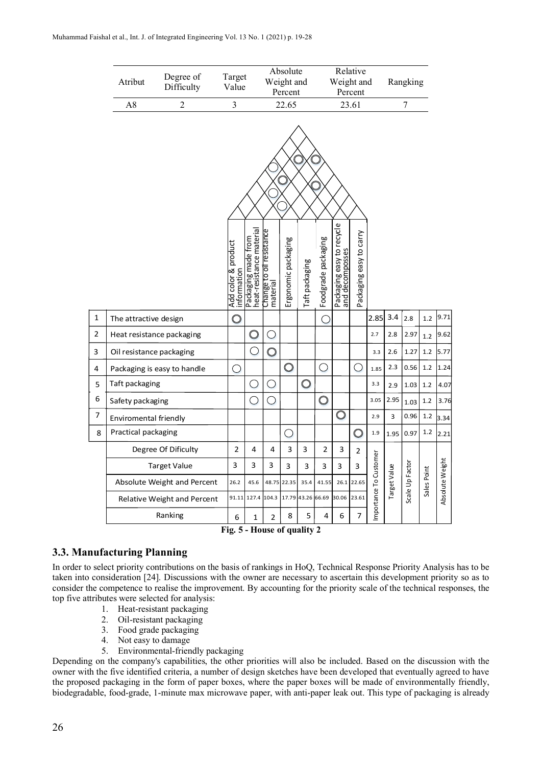|                         | Atribut                   | Degree of<br>Difficulty     | Target<br>Value                    |                                                 |                                             | Absolute<br>Weight and<br>Percent               |                |                     | Weight and                                   | Relative<br>Percent     |                        | Rangking       |                 |             |                 |
|-------------------------|---------------------------|-----------------------------|------------------------------------|-------------------------------------------------|---------------------------------------------|-------------------------------------------------|----------------|---------------------|----------------------------------------------|-------------------------|------------------------|----------------|-----------------|-------------|-----------------|
|                         | $\overline{2}$<br>A8      |                             | $\overline{3}$                     | 22.65                                           |                                             |                                                 |                | 23.61               |                                              |                         |                        | $\overline{7}$ |                 |             |                 |
|                         |                           |                             |                                    |                                                 |                                             |                                                 |                |                     |                                              |                         |                        |                |                 |             |                 |
|                         |                           |                             | Add color & product<br>information | Packaging made from<br>heat-resistance material | Change to oil resistance<br>material        | Ergonomic packaging                             | Taft packaging | Foodgrade packaging | Packaging easy to recycle<br>and decomposses | Packaging easy to carry |                        |                |                 |             |                 |
| $\mathbf 1$             | The attractive design     |                             | $\bigcirc$                         |                                                 |                                             |                                                 |                | Œ                   |                                              |                         | 2.85                   | 3.4            | 2.8             | 1.2         | 9.71            |
| $\overline{\mathbf{c}}$ | Heat resistance packaging |                             |                                    | $\circledcirc$                                  | $\left(\begin{array}{c} \end{array}\right)$ |                                                 |                |                     |                                              |                         | 2.7                    | 2.8            | 2.97            | 1.2         | 9.62            |
| 3                       | Oil resistance packaging  |                             |                                    | $\bigcirc$                                      | $\bigcirc$                                  |                                                 |                |                     |                                              |                         | 3.3                    | 2.6            | 1.27            | 1.2         | 5.77            |
| 4                       |                           | Packaging is easy to handle | $\bigcirc$                         |                                                 |                                             | $\bigcirc$                                      |                | $\bigcirc$          |                                              | ∩                       | 1.85                   | 2.3            | 0.56            | 1.2         | 1.24            |
| 5                       | Taft packaging            |                             |                                    | $\cup$                                          | ( )                                         |                                                 | $\bigcirc$     |                     |                                              |                         | 3.3                    | 2.9            | 1.03            | 1.2         | 4.07            |
| 6                       | Safety packaging          |                             |                                    | ◯                                               | $\bigcirc$                                  |                                                 |                | $\bigcirc$          |                                              |                         | 3.05                   | 2.95           | 1.03            | 1.2         | 3.76            |
| 7                       | Enviromental friendly     |                             |                                    |                                                 |                                             |                                                 |                |                     | $\overline{\mathbb{O}}$                      |                         | 2.9                    | 3              | 0.96            | 1.2         | 3.34            |
| 8                       | Practical packaging       |                             |                                    |                                                 |                                             | $\left( \begin{array}{c} 1 \end{array} \right)$ |                |                     |                                              | $\bigcirc$              | 1.9                    | 1.95           | 0.97            | 1.2         | 2.21            |
|                         |                           | Degree Of Dificulty         | $\overline{2}$                     | 4                                               | 4                                           | 3                                               | 3              | $\overline{2}$      | 3                                            | $\overline{2}$          |                        |                |                 |             |                 |
|                         |                           | <b>Target Value</b>         | 3                                  | 3                                               | 3                                           | 3                                               | 3              | 3                   | 3                                            | 3                       |                        |                |                 |             |                 |
|                         |                           | Absolute Weight and Percent | 26.2                               | 45.6                                            |                                             | 48.75 22.35                                     | 35.4           | 41.55               | 26.1                                         | 22.65                   | Importance To Customer | Target Value   | Scale Up Factor | Sales Point | Absolute Weight |
|                         |                           | Relative Weight and Percent | 91.11                              | 127.4                                           | 104.3                                       | 17.79                                           | 43.26 66.69    |                     | 30.06                                        | 23.61                   |                        |                |                 |             |                 |
|                         |                           | Ranking                     | 6                                  | 1                                               | 2                                           | 8                                               | 5              | 4                   | 6                                            | $\overline{7}$          |                        |                |                 |             |                 |

**Fig. 5 - House of quality 2**

# **3.3. Manufacturing Planning**

In order to select priority contributions on the basis of rankings in HoQ, Technical Response Priority Analysis has to be taken into consideration [24]. Discussions with the owner are necessary to ascertain this development priority so as to consider the competence to realise the improvement. By accounting for the priority scale of the technical responses, the top five attributes were selected for analysis:

- 1. Heat-resistant packaging
- 2. Oil-resistant packaging
- 3. Food grade packaging
- 4. Not easy to damage
- 5. Environmental-friendly packaging

Depending on the company's capabilities, the other priorities will also be included. Based on the discussion with the owner with the five identified criteria, a number of design sketches have been developed that eventually agreed to have the proposed packaging in the form of paper boxes, where the paper boxes will be made of environmentally friendly, biodegradable, food-grade, 1-minute max microwave paper, with anti-paper leak out. This type of packaging is already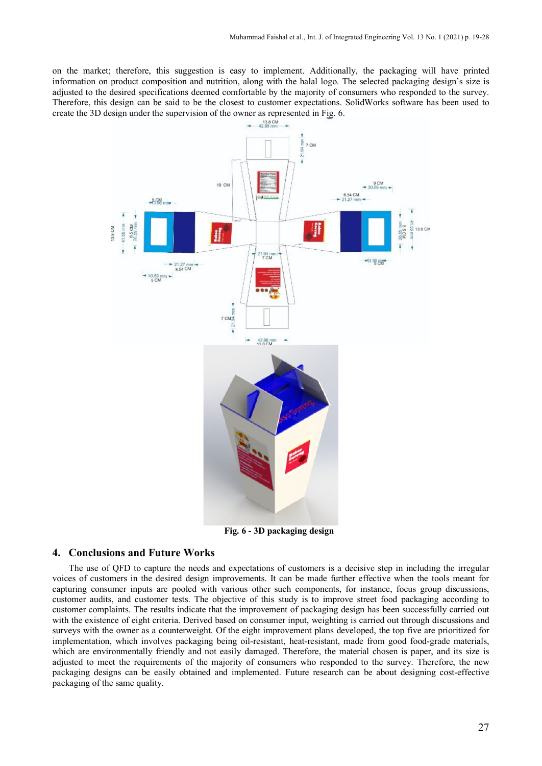on the market; therefore, this suggestion is easy to implement. Additionally, the packaging will have printed information on product composition and nutrition, along with the halal logo. The selected packaging design's size is adjusted to the desired specifications deemed comfortable by the majority of consumers who responded to the survey. Therefore, this design can be said to be the closest to customer expectations. SolidWorks software has been used to create the 3D design under the supervision of the owner as represented in Fig. 6.<br> $\frac{138 \text{ cm}}{4288 \text{ cm} + 1}$ 



**Fig. 6 - 3D packaging design**

# **4. Conclusions and Future Works**

The use of QFD to capture the needs and expectations of customers is a decisive step in including the irregular voices of customers in the desired design improvements. It can be made further effective when the tools meant for capturing consumer inputs are pooled with various other such components, for instance, focus group discussions, customer audits, and customer tests. The objective of this study is to improve street food packaging according to customer complaints. The results indicate that the improvement of packaging design has been successfully carried out with the existence of eight criteria. Derived based on consumer input, weighting is carried out through discussions and surveys with the owner as a counterweight. Of the eight improvement plans developed, the top five are prioritized for implementation, which involves packaging being oil-resistant, heat-resistant, made from good food-grade materials, which are environmentally friendly and not easily damaged. Therefore, the material chosen is paper, and its size is adjusted to meet the requirements of the majority of consumers who responded to the survey. Therefore, the new packaging designs can be easily obtained and implemented. Future research can be about designing cost-effective packaging of the same quality.